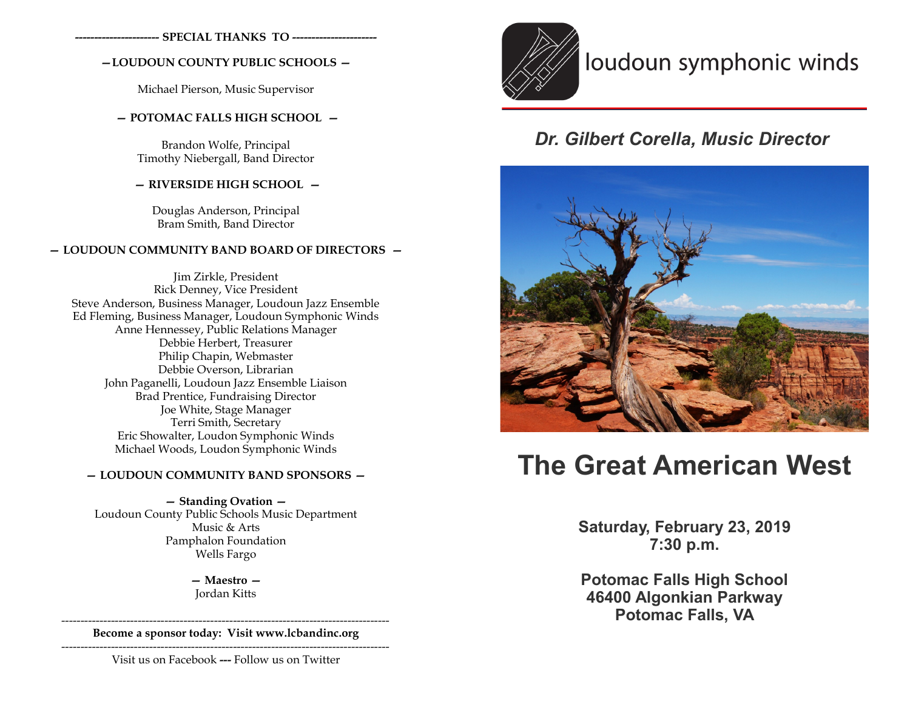**---------------------- SPECIAL THANKS TO ----------------------**

#### **—LOUDOUN COUNTY PUBLIC SCHOOLS —**

Michael Pierson, Music Supervisor

#### **— POTOMAC FALLS HIGH SCHOOL —**

Brandon Wolfe, Principal Timothy Niebergall, Band Director

#### **— RIVERSIDE HIGH SCHOOL —**

Douglas Anderson, Principal Bram Smith, Band Director

#### **— LOUDOUN COMMUNITY BAND BOARD OF DIRECTORS —**

Jim Zirkle, President Rick Denney, Vice President Steve Anderson, Business Manager, Loudoun Jazz Ensemble Ed Fleming, Business Manager, Loudoun Symphonic Winds Anne Hennessey, Public Relations Manager Debbie Herbert, Treasurer Philip Chapin, Webmaster Debbie Overson, Librarian John Paganelli, Loudoun Jazz Ensemble Liaison Brad Prentice, Fundraising Director Joe White, Stage Manager Terri Smith, Secretary Eric Showalter, Loudon Symphonic Winds Michael Woods, Loudon Symphonic Winds

#### **— LOUDOUN COMMUNITY BAND SPONSORS —**

**— Standing Ovation —**  Loudoun County Public Schools Music Department Music & Arts Pamphalon Foundation Wells Fargo

> **— Maestro —** Jordan Kitts

-------------------------------------------------------------------------------------- **Become a sponsor today: Visit www.lcbandinc.org**

--------------------------------------------------------------------------------------

Visit us on Facebook **---** Follow us on Twitter



# loudoun symphonic winds

### *Dr. Gilbert Corella, Music Director*



# **The Great American West**

**Saturday, February 23, 2019 7:30 p.m.**

**Potomac Falls High School 46400 Algonkian Parkway Potomac Falls, VA**